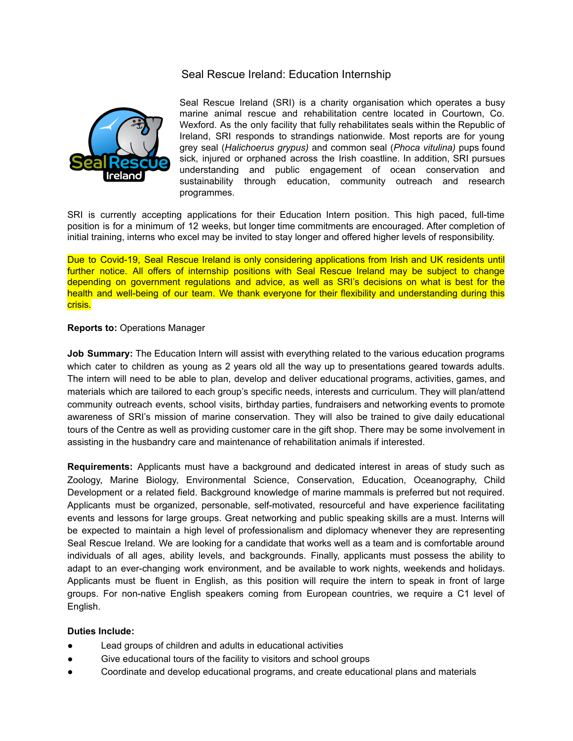## Seal Rescue Ireland: Education Internship



Seal Rescue Ireland (SRI) is a charity organisation which operates a busy marine animal rescue and rehabilitation centre located in Courtown, Co. Wexford. As the only facility that fully rehabilitates seals within the Republic of Ireland, SRI responds to strandings nationwide. Most reports are for young grey seal (*Halichoerus grypus)* and common seal (*Phoca vitulina)* pups found sick, injured or orphaned across the Irish coastline. In addition, SRI pursues understanding and public engagement of ocean conservation and sustainability through education, community outreach and research programmes.

SRI is currently accepting applications for their Education Intern position. This high paced, full-time position is for a minimum of 12 weeks, but longer time commitments are encouraged. After completion of initial training, interns who excel may be invited to stay longer and offered higher levels of responsibility.

Due to Covid-19, Seal Rescue Ireland is only considering applications from Irish and UK residents until further notice. All offers of internship positions with Seal Rescue Ireland may be subject to change depending on government regulations and advice, as well as SRI's decisions on what is best for the health and well-being of our team. We thank everyone for their flexibility and understanding during this crisis.

## **Reports to:** Operations Manager

**Job Summary:** The Education Intern will assist with everything related to the various education programs which cater to children as young as 2 years old all the way up to presentations geared towards adults. The intern will need to be able to plan, develop and deliver educational programs, activities, games, and materials which are tailored to each group's specific needs, interests and curriculum. They will plan/attend community outreach events, school visits, birthday parties, fundraisers and networking events to promote awareness of SRI's mission of marine conservation. They will also be trained to give daily educational tours of the Centre as well as providing customer care in the gift shop. There may be some involvement in assisting in the husbandry care and maintenance of rehabilitation animals if interested.

**Requirements:** Applicants must have a background and dedicated interest in areas of study such as Zoology, Marine Biology, Environmental Science, Conservation, Education, Oceanography, Child Development or a related field. Background knowledge of marine mammals is preferred but not required. Applicants must be organized, personable, self-motivated, resourceful and have experience facilitating events and lessons for large groups. Great networking and public speaking skills are a must. Interns will be expected to maintain a high level of professionalism and diplomacy whenever they are representing Seal Rescue Ireland. We are looking for a candidate that works well as a team and is comfortable around individuals of all ages, ability levels, and backgrounds. Finally, applicants must possess the ability to adapt to an ever-changing work environment, and be available to work nights, weekends and holidays. Applicants must be fluent in English, as this position will require the intern to speak in front of large groups. For non-native English speakers coming from European countries, we require a C1 level of English.

## **Duties Include:**

- Lead groups of children and adults in educational activities
- Give educational tours of the facility to visitors and school groups
- Coordinate and develop educational programs, and create educational plans and materials